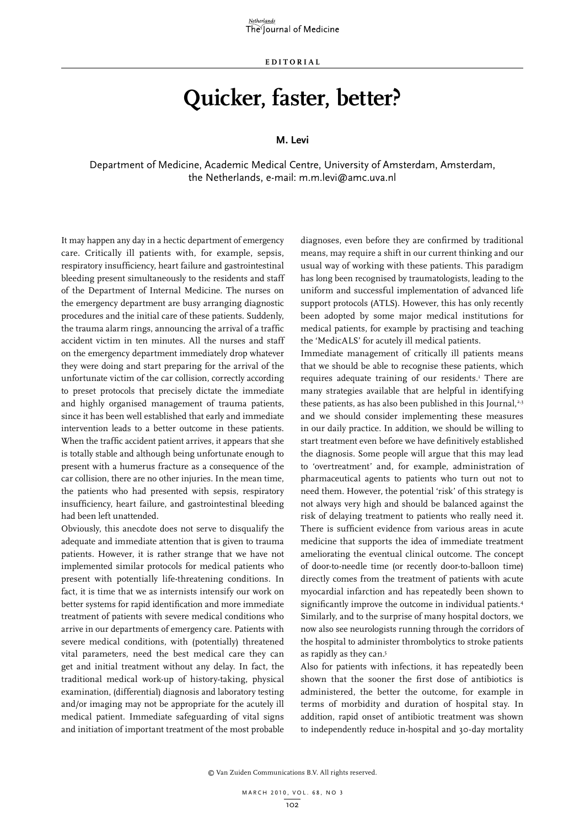**E d i t o r i a l**

## **Quicker, faster, better?**

## **M. Levi**

Department of Medicine, Academic Medical Centre, University of Amsterdam, Amsterdam, the Netherlands, e-mail: m.m.levi@amc.uva.nl

It may happen any day in a hectic department of emergency care. Critically ill patients with, for example, sepsis, respiratory insufficiency, heart failure and gastrointestinal bleeding present simultaneously to the residents and staff of the Department of Internal Medicine. The nurses on the emergency department are busy arranging diagnostic procedures and the initial care of these patients. Suddenly, the trauma alarm rings, announcing the arrival of a traffic accident victim in ten minutes. All the nurses and staff on the emergency department immediately drop whatever they were doing and start preparing for the arrival of the unfortunate victim of the car collision, correctly according to preset protocols that precisely dictate the immediate and highly organised management of trauma patients, since it has been well established that early and immediate intervention leads to a better outcome in these patients. When the traffic accident patient arrives, it appears that she is totally stable and although being unfortunate enough to present with a humerus fracture as a consequence of the car collision, there are no other injuries. In the mean time, the patients who had presented with sepsis, respiratory insufficiency, heart failure, and gastrointestinal bleeding had been left unattended.

Obviously, this anecdote does not serve to disqualify the adequate and immediate attention that is given to trauma patients. However, it is rather strange that we have not implemented similar protocols for medical patients who present with potentially life-threatening conditions. In fact, it is time that we as internists intensify our work on better systems for rapid identification and more immediate treatment of patients with severe medical conditions who arrive in our departments of emergency care. Patients with severe medical conditions, with (potentially) threatened vital parameters, need the best medical care they can get and initial treatment without any delay. In fact, the traditional medical work-up of history-taking, physical examination, (differential) diagnosis and laboratory testing and/or imaging may not be appropriate for the acutely ill medical patient. Immediate safeguarding of vital signs and initiation of important treatment of the most probable

diagnoses, even before they are confirmed by traditional means, may require a shift in our current thinking and our usual way of working with these patients. This paradigm has long been recognised by traumatologists, leading to the uniform and successful implementation of advanced life support protocols (ATLS). However, this has only recently been adopted by some major medical institutions for medical patients, for example by practising and teaching the 'MedicALS' for acutely ill medical patients.

Immediate management of critically ill patients means that we should be able to recognise these patients, which requires adequate training of our residents.<sup>1</sup> There are many strategies available that are helpful in identifying these patients, as has also been published in this Journal, $2,3$ and we should consider implementing these measures in our daily practice. In addition, we should be willing to start treatment even before we have definitively established the diagnosis. Some people will argue that this may lead to 'overtreatment' and, for example, administration of pharmaceutical agents to patients who turn out not to need them. However, the potential 'risk' of this strategy is not always very high and should be balanced against the risk of delaying treatment to patients who really need it. There is sufficient evidence from various areas in acute medicine that supports the idea of immediate treatment ameliorating the eventual clinical outcome. The concept of door-to-needle time (or recently door-to-balloon time) directly comes from the treatment of patients with acute myocardial infarction and has repeatedly been shown to significantly improve the outcome in individual patients.<sup>4</sup> Similarly, and to the surprise of many hospital doctors, we now also see neurologists running through the corridors of the hospital to administer thrombolytics to stroke patients as rapidly as they can.5

Also for patients with infections, it has repeatedly been shown that the sooner the first dose of antibiotics is administered, the better the outcome, for example in terms of morbidity and duration of hospital stay. In addition, rapid onset of antibiotic treatment was shown to independently reduce in-hospital and 30-day mortality